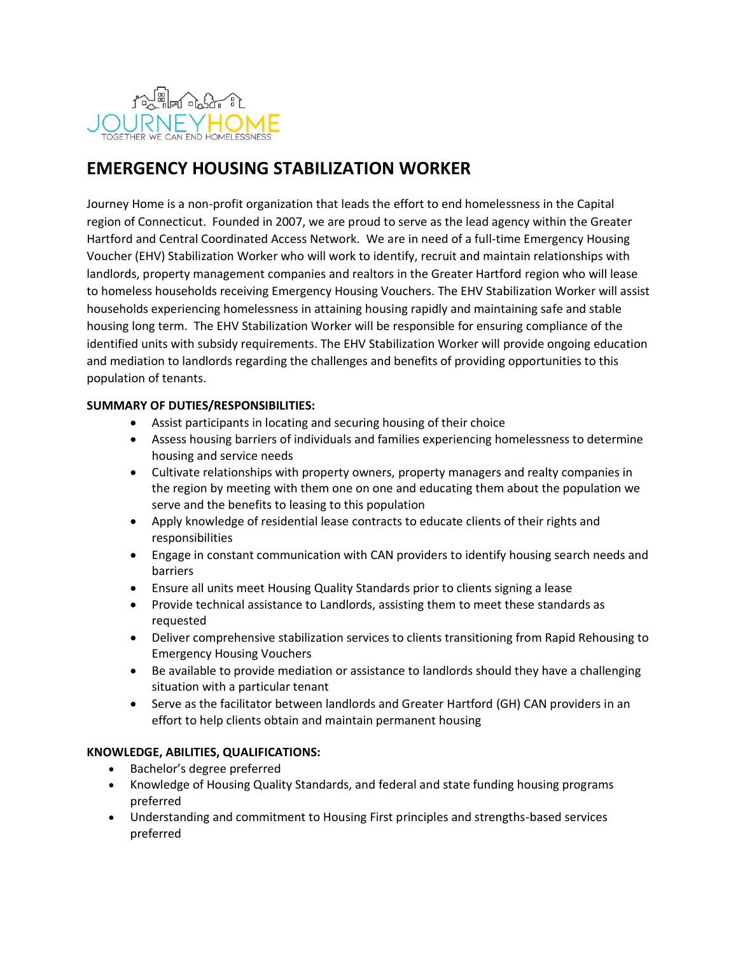

# **EMERGENCY HOUSING STABILIZATION WORKER**

Journey Home is a non-profit organization that leads the effort to end homelessness in the Capital region of Connecticut. Founded in 2007, we are proud to serve as the lead agency within the Greater Hartford and Central Coordinated Access Network. We are in need of a full-time Emergency Housing Voucher (EHV) Stabilization Worker who will work to identify, recruit and maintain relationships with landlords, property management companies and realtors in the Greater Hartford region who will lease to homeless households receiving Emergency Housing Vouchers. The EHV Stabilization Worker will assist households experiencing homelessness in attaining housing rapidly and maintaining safe and stable housing long term. The EHV Stabilization Worker will be responsible for ensuring compliance of the identified units with subsidy requirements. The EHV Stabilization Worker will provide ongoing education and mediation to landlords regarding the challenges and benefits of providing opportunities to this population of tenants.

## **SUMMARY OF DUTIES/RESPONSIBILITIES:**

- Assist participants in locating and securing housing of their choice
- Assess housing barriers of individuals and families experiencing homelessness to determine housing and service needs
- Cultivate relationships with property owners, property managers and realty companies in the region by meeting with them one on one and educating them about the population we serve and the benefits to leasing to this population
- Apply knowledge of residential lease contracts to educate clients of their rights and responsibilities
- Engage in constant communication with CAN providers to identify housing search needs and barriers
- Ensure all units meet Housing Quality Standards prior to clients signing a lease
- Provide technical assistance to Landlords, assisting them to meet these standards as requested
- Deliver comprehensive stabilization services to clients transitioning from Rapid Rehousing to Emergency Housing Vouchers
- Be available to provide mediation or assistance to landlords should they have a challenging situation with a particular tenant
- Serve as the facilitator between landlords and Greater Hartford (GH) CAN providers in an effort to help clients obtain and maintain permanent housing

### **KNOWLEDGE, ABILITIES, QUALIFICATIONS:**

- Bachelor's degree preferred
- Knowledge of Housing Quality Standards, and federal and state funding housing programs preferred
- Understanding and commitment to Housing First principles and strengths-based services preferred